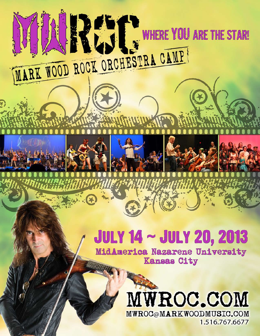# **JULY 14 ~ JULY 20, 2013**

**ENTIRE YOU ARE THE STAR!** 

WARE WOOD ROCK ORCHESTRA CAMP

MidAmerica Nazarene University **Kansas City All All All All** 

> MWROC.COM MWROC@MARKWOODMUSIC.COM 1.516.767.6677